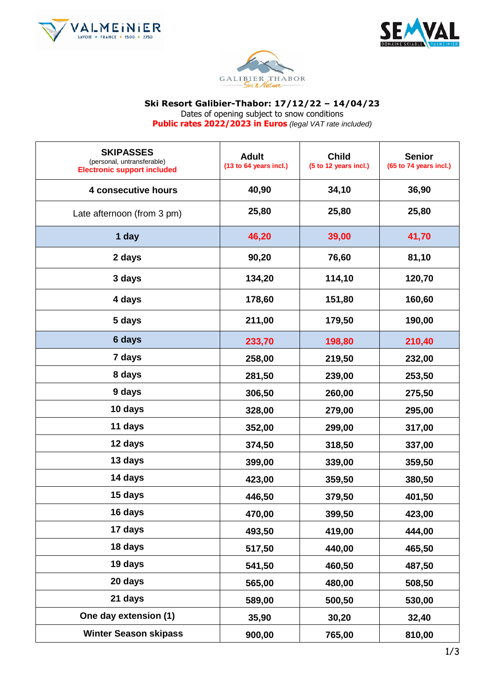





#### **Ski Resort Galibier-Thabor: 17/12/22 – 14/04/23**

Dates of opening subject to snow conditions

**Public rates 2022/2023 in Euros** *(legal VAT rate included)*

| <b>SKIPASSES</b><br>(personal, untransferable)<br><b>Electronic support included</b> | <b>Adult</b><br>(13 to 64 years incl.) | <b>Child</b><br>(5 to 12 years incl.) | <b>Senior</b><br>(65 to 74 years incl.) |
|--------------------------------------------------------------------------------------|----------------------------------------|---------------------------------------|-----------------------------------------|
| 4 consecutive hours                                                                  | 40,90                                  | 34,10                                 | 36,90                                   |
| Late afternoon (from 3 pm)                                                           | 25,80                                  | 25,80                                 | 25,80                                   |
| 1 day                                                                                | 46,20                                  | 39,00                                 | 41,70                                   |
| 2 days                                                                               | 90,20                                  | 76,60                                 | 81,10                                   |
| 3 days                                                                               | 134,20                                 | 114,10                                | 120,70                                  |
| 4 days                                                                               | 178,60                                 | 151,80                                | 160,60                                  |
| 5 days                                                                               | 211,00                                 | 179,50                                | 190,00                                  |
| 6 days                                                                               | 233,70                                 | 198,80                                | 210,40                                  |
| 7 days                                                                               | 258,00                                 | 219,50                                | 232,00                                  |
| 8 days                                                                               | 281,50                                 | 239,00                                | 253,50                                  |
| 9 days                                                                               | 306,50                                 | 260,00                                | 275,50                                  |
| 10 days                                                                              | 328,00                                 | 279,00                                | 295,00                                  |
| 11 days                                                                              | 352,00                                 | 299,00                                | 317,00                                  |
| 12 days                                                                              | 374,50                                 | 318,50                                | 337,00                                  |
| 13 days                                                                              | 399,00                                 | 339,00                                | 359,50                                  |
| 14 days                                                                              | 423,00                                 | 359,50                                | 380,50                                  |
| 15 days                                                                              | 446,50                                 | 379,50                                | 401,50                                  |
| 16 days                                                                              | 470,00                                 | 399,50                                | 423,00                                  |
| 17 days                                                                              | 493,50                                 | 419,00                                | 444,00                                  |
| 18 days                                                                              | 517,50                                 | 440,00                                | 465,50                                  |
| 19 days                                                                              | 541,50                                 | 460,50                                | 487,50                                  |
| 20 days                                                                              | 565,00                                 | 480,00                                | 508,50                                  |
| 21 days                                                                              | 589,00                                 | 500,50                                | 530,00                                  |
| One day extension (1)                                                                | 35,90                                  | 30,20                                 | 32,40                                   |
| <b>Winter Season skipass</b>                                                         | 900,00                                 | 765,00                                | 810,00                                  |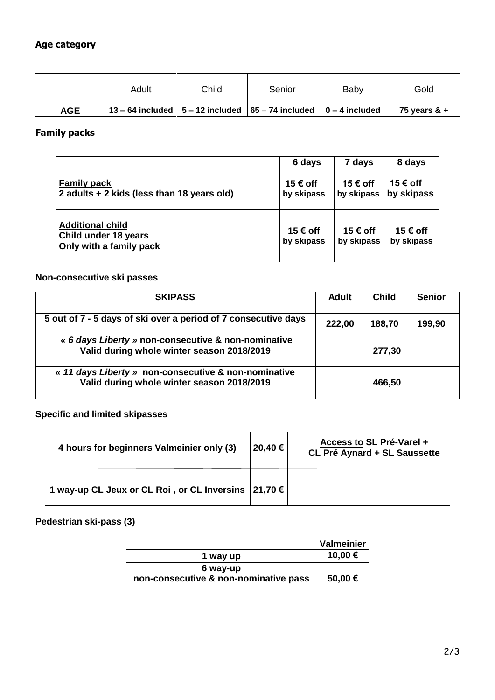# **Age category**

|     | Adult | Child | Senior                                                                                           | Baby | Gold            |
|-----|-------|-------|--------------------------------------------------------------------------------------------------|------|-----------------|
| AGE |       |       | $\vert$ 13 – 64 included $\vert$ 5 – 12 included $\vert$ 65 – 74 included $\vert$ 0 – 4 included |      | 75 vears $\&$ + |

#### **Family packs**

|                                                                            | 6 days                 | 7 days                 | 8 days                 |
|----------------------------------------------------------------------------|------------------------|------------------------|------------------------|
| <b>Family pack</b><br>2 adults + 2 kids (less than 18 years old)           | 15 € off<br>by skipass | 15 € off<br>by skipass | 15 € off<br>by skipass |
| <b>Additional child</b><br>Child under 18 years<br>Only with a family pack | 15 € off<br>by skipass | 15 € off<br>by skipass | 15 € off<br>by skipass |

## **Non-consecutive ski passes**

| <b>SKIPASS</b>                                                                                     | <b>Adult</b> | <b>Child</b> | <b>Senior</b> |
|----------------------------------------------------------------------------------------------------|--------------|--------------|---------------|
| 5 out of 7 - 5 days of ski over a period of 7 consecutive days                                     | 222,00       | 188,70       | 199,90        |
| « 6 days Liberty » non-consecutive & non-nominative<br>Valid during whole winter season 2018/2019  | 277,30       |              |               |
| « 11 days Liberty » non-consecutive & non-nominative<br>Valid during whole winter season 2018/2019 |              | 466,50       |               |

# **Specific and limited skipasses**

| 4 hours for beginners Valmeinier only (3)                | 20,40 € | Access to SL Pré-Varel +<br>CL Pré Aynard + SL Saussette |
|----------------------------------------------------------|---------|----------------------------------------------------------|
| 1 way-up CL Jeux or CL Roi, or CL Inversins $ 21,70 \in$ |         |                                                          |

# **Pedestrian ski-pass (3)**

|                                       | Valmeinier |
|---------------------------------------|------------|
| 1 way up                              | 10,00 €    |
| 6 way-up                              |            |
| non-consecutive & non-nominative pass | 50,00 €    |